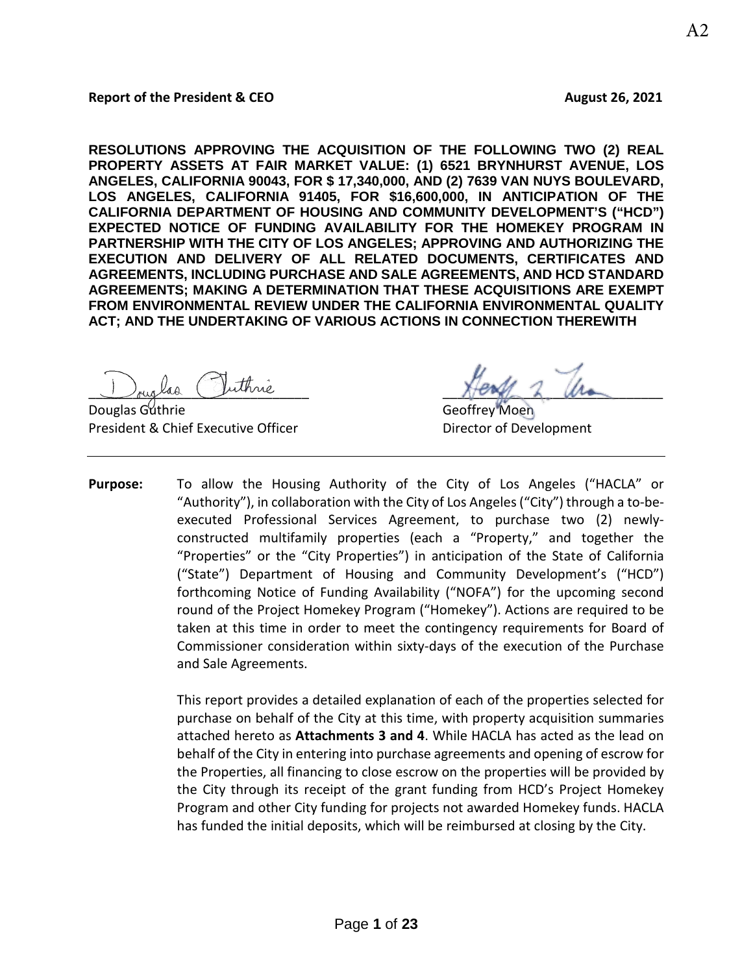### **Report of the President & CEO** August 26, 2021

**RESOLUTIONS APPROVING THE ACQUISITION OF THE FOLLOWING TWO (2) REAL PROPERTY ASSETS AT FAIR MARKET VALUE: (1) 6521 BRYNHURST AVENUE, LOS ANGELES, CALIFORNIA 90043, FOR \$ 17,340,000, AND (2) 7639 VAN NUYS BOULEVARD, LOS ANGELES, CALIFORNIA 91405, FOR \$16,600,000, IN ANTICIPATION OF THE CALIFORNIA DEPARTMENT OF HOUSING AND COMMUNITY DEVELOPMENT'S ("HCD") EXPECTED NOTICE OF FUNDING AVAILABILITY FOR THE HOMEKEY PROGRAM IN PARTNERSHIP WITH THE CITY OF LOS ANGELES; APPROVING AND AUTHORIZING THE EXECUTION AND DELIVERY OF ALL RELATED DOCUMENTS, CERTIFICATES AND AGREEMENTS, INCLUDING PURCHASE AND SALE AGREEMENTS, AND HCD STANDARD AGREEMENTS; MAKING A DETERMINATION THAT THESE ACQUISITIONS ARE EXEMPT FROM ENVIRONMENTAL REVIEW UNDER THE CALIFORNIA ENVIRONMENTAL QUALITY ACT; AND THE UNDERTAKING OF VARIOUS ACTIONS IN CONNECTION THEREWITH**

**Douglas Guthrie Community Community Community Community Community Community Community Community Community Community** President & Chief Executive Officer **Director of Development** 

buglas ruinne

**Purpose:** To allow the Housing Authority of the City of Los Angeles ("HACLA" or "Authority"), in collaboration with the City of Los Angeles ("City") through a to-beexecuted Professional Services Agreement, to purchase two (2) newlyconstructed multifamily properties (each a "Property," and together the "Properties" or the "City Properties") in anticipation of the State of California ("State") Department of Housing and Community Development's ("HCD") forthcoming Notice of Funding Availability ("NOFA") for the upcoming second round of the Project Homekey Program ("Homekey"). Actions are required to be taken at this time in order to meet the contingency requirements for Board of Commissioner consideration within sixty-days of the execution of the Purchase and Sale Agreements.

> This report provides a detailed explanation of each of the properties selected for purchase on behalf of the City at this time, with property acquisition summaries attached hereto as **Attachments 3 and 4**. While HACLA has acted as the lead on behalf of the City in entering into purchase agreements and opening of escrow for the Properties, all financing to close escrow on the properties will be provided by the City through its receipt of the grant funding from HCD's Project Homekey Program and other City funding for projects not awarded Homekey funds. HACLA has funded the initial deposits, which will be reimbursed at closing by the City.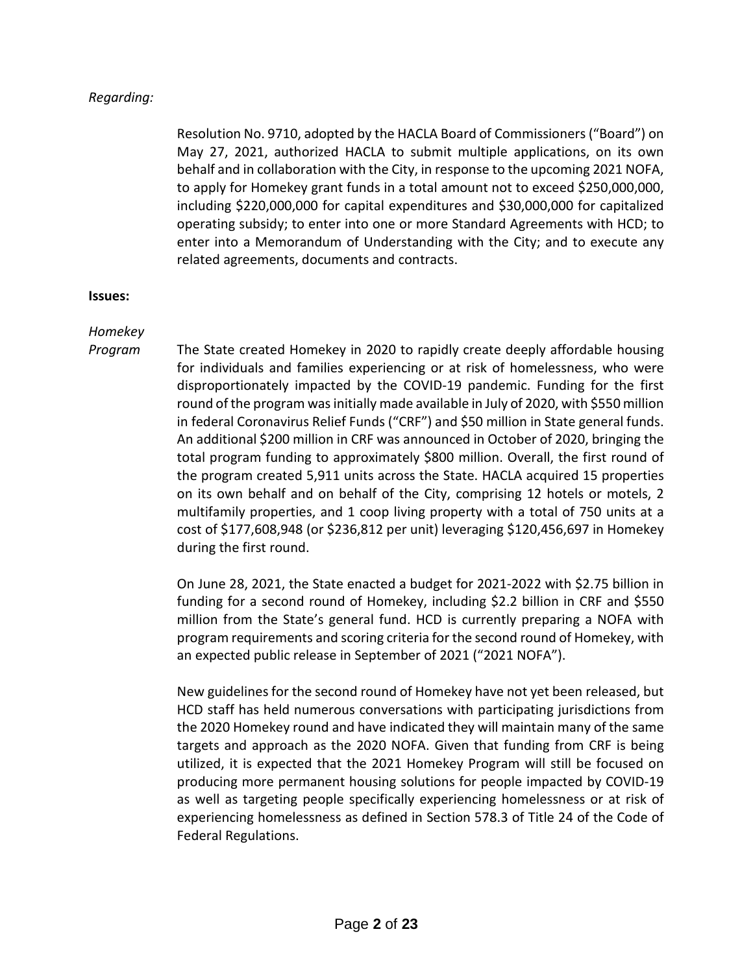## *Regarding:*

Resolution No. 9710, adopted by the HACLA Board of Commissioners ("Board") on May 27, 2021, authorized HACLA to submit multiple applications, on its own behalf and in collaboration with the City, in response to the upcoming 2021 NOFA, to apply for Homekey grant funds in a total amount not to exceed \$250,000,000, including \$220,000,000 for capital expenditures and \$30,000,000 for capitalized operating subsidy; to enter into one or more Standard Agreements with HCD; to enter into a Memorandum of Understanding with the City; and to execute any related agreements, documents and contracts.

### **Issues:**

## *Homekey*

*Program* The State created Homekey in 2020 to rapidly create deeply affordable housing for individuals and families experiencing or at risk of homelessness, who were disproportionately impacted by the COVID-19 pandemic. Funding for the first round of the program was initially made available in July of 2020, with \$550 million in federal Coronavirus Relief Funds ("CRF") and \$50 million in State general funds. An additional \$200 million in CRF was announced in October of 2020, bringing the total program funding to approximately \$800 million. Overall, the first round of the program created 5,911 units across the State. HACLA acquired 15 properties on its own behalf and on behalf of the City, comprising 12 hotels or motels, 2 multifamily properties, and 1 coop living property with a total of 750 units at a cost of \$177,608,948 (or \$236,812 per unit) leveraging \$120,456,697 in Homekey during the first round.

> On June 28, 2021, the State enacted a budget for 2021-2022 with \$2.75 billion in funding for a second round of Homekey, including \$2.2 billion in CRF and \$550 million from the State's general fund. HCD is currently preparing a NOFA with program requirements and scoring criteria for the second round of Homekey, with an expected public release in September of 2021 ("2021 NOFA").

> New guidelines for the second round of Homekey have not yet been released, but HCD staff has held numerous conversations with participating jurisdictions from the 2020 Homekey round and have indicated they will maintain many of the same targets and approach as the 2020 NOFA. Given that funding from CRF is being utilized, it is expected that the 2021 Homekey Program will still be focused on producing more permanent housing solutions for people impacted by COVID-19 as well as targeting people specifically experiencing homelessness or at risk of experiencing homelessness as defined in Section 578.3 of Title 24 of the Code of Federal Regulations.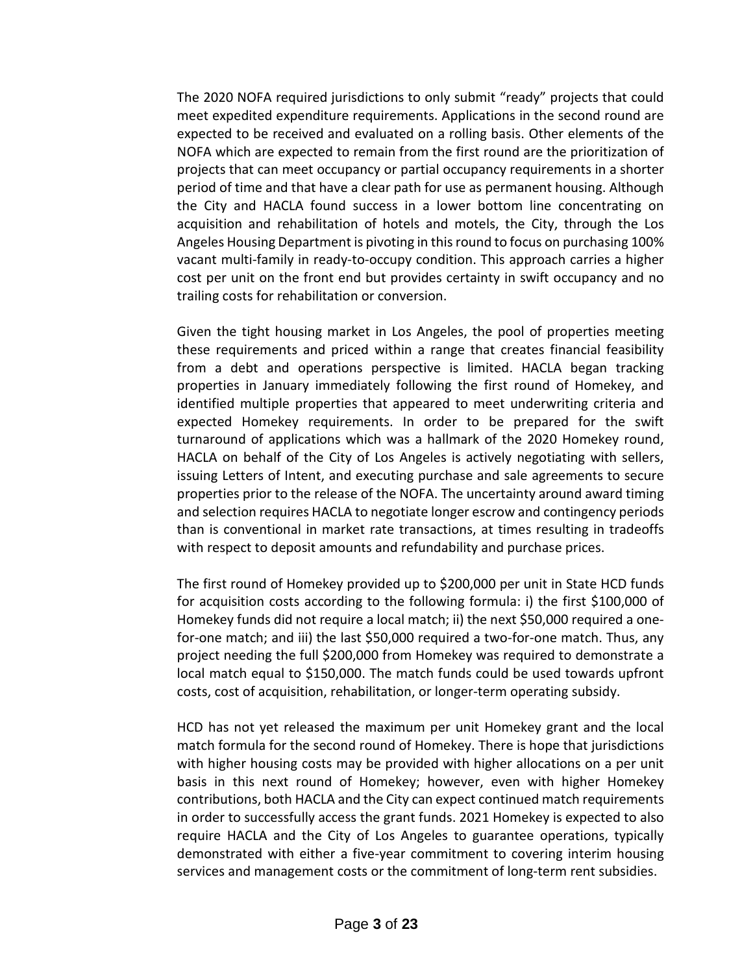The 2020 NOFA required jurisdictions to only submit "ready" projects that could meet expedited expenditure requirements. Applications in the second round are expected to be received and evaluated on a rolling basis. Other elements of the NOFA which are expected to remain from the first round are the prioritization of projects that can meet occupancy or partial occupancy requirements in a shorter period of time and that have a clear path for use as permanent housing. Although the City and HACLA found success in a lower bottom line concentrating on acquisition and rehabilitation of hotels and motels, the City, through the Los Angeles Housing Department is pivoting in this round to focus on purchasing 100% vacant multi-family in ready-to-occupy condition. This approach carries a higher cost per unit on the front end but provides certainty in swift occupancy and no trailing costs for rehabilitation or conversion.

Given the tight housing market in Los Angeles, the pool of properties meeting these requirements and priced within a range that creates financial feasibility from a debt and operations perspective is limited. HACLA began tracking properties in January immediately following the first round of Homekey, and identified multiple properties that appeared to meet underwriting criteria and expected Homekey requirements. In order to be prepared for the swift turnaround of applications which was a hallmark of the 2020 Homekey round, HACLA on behalf of the City of Los Angeles is actively negotiating with sellers, issuing Letters of Intent, and executing purchase and sale agreements to secure properties prior to the release of the NOFA. The uncertainty around award timing and selection requires HACLA to negotiate longer escrow and contingency periods than is conventional in market rate transactions, at times resulting in tradeoffs with respect to deposit amounts and refundability and purchase prices.

The first round of Homekey provided up to \$200,000 per unit in State HCD funds for acquisition costs according to the following formula: i) the first \$100,000 of Homekey funds did not require a local match; ii) the next \$50,000 required a onefor-one match; and iii) the last \$50,000 required a two-for-one match. Thus, any project needing the full \$200,000 from Homekey was required to demonstrate a local match equal to \$150,000. The match funds could be used towards upfront costs, cost of acquisition, rehabilitation, or longer-term operating subsidy.

HCD has not yet released the maximum per unit Homekey grant and the local match formula for the second round of Homekey. There is hope that jurisdictions with higher housing costs may be provided with higher allocations on a per unit basis in this next round of Homekey; however, even with higher Homekey contributions, both HACLA and the City can expect continued match requirements in order to successfully access the grant funds. 2021 Homekey is expected to also require HACLA and the City of Los Angeles to guarantee operations, typically demonstrated with either a five-year commitment to covering interim housing services and management costs or the commitment of long-term rent subsidies.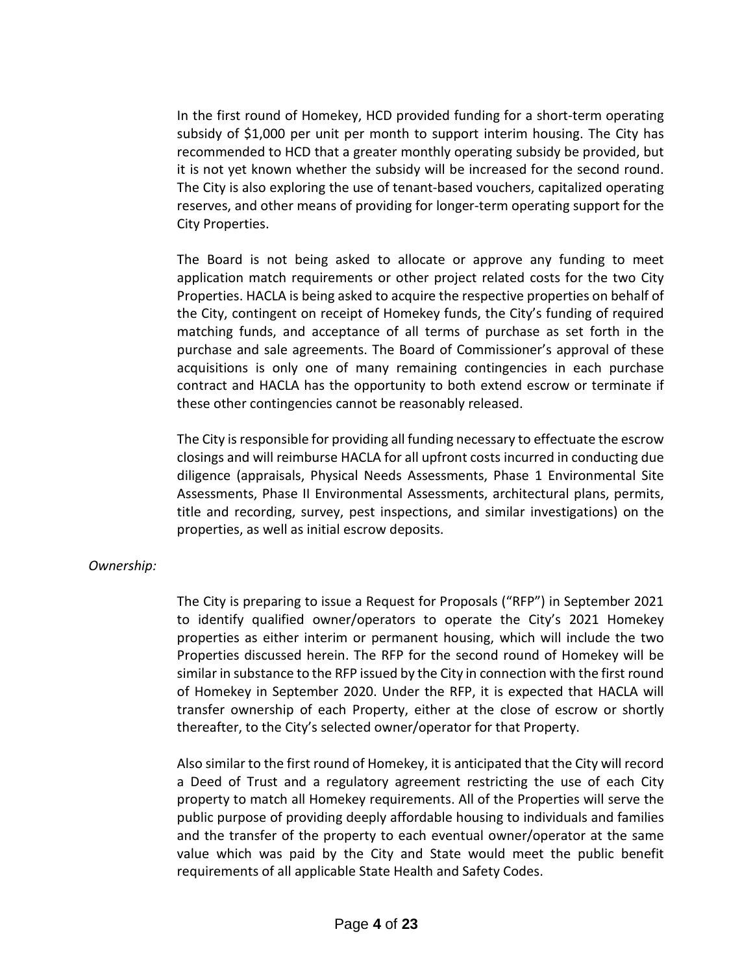In the first round of Homekey, HCD provided funding for a short-term operating subsidy of \$1,000 per unit per month to support interim housing. The City has recommended to HCD that a greater monthly operating subsidy be provided, but it is not yet known whether the subsidy will be increased for the second round. The City is also exploring the use of tenant-based vouchers, capitalized operating reserves, and other means of providing for longer-term operating support for the City Properties.

The Board is not being asked to allocate or approve any funding to meet application match requirements or other project related costs for the two City Properties. HACLA is being asked to acquire the respective properties on behalf of the City, contingent on receipt of Homekey funds, the City's funding of required matching funds, and acceptance of all terms of purchase as set forth in the purchase and sale agreements. The Board of Commissioner's approval of these acquisitions is only one of many remaining contingencies in each purchase contract and HACLA has the opportunity to both extend escrow or terminate if these other contingencies cannot be reasonably released.

The City is responsible for providing all funding necessary to effectuate the escrow closings and will reimburse HACLA for all upfront costs incurred in conducting due diligence (appraisals, Physical Needs Assessments, Phase 1 Environmental Site Assessments, Phase II Environmental Assessments, architectural plans, permits, title and recording, survey, pest inspections, and similar investigations) on the properties, as well as initial escrow deposits.

### *Ownership:*

The City is preparing to issue a Request for Proposals ("RFP") in September 2021 to identify qualified owner/operators to operate the City's 2021 Homekey properties as either interim or permanent housing, which will include the two Properties discussed herein. The RFP for the second round of Homekey will be similar in substance to the RFP issued by the City in connection with the first round of Homekey in September 2020. Under the RFP, it is expected that HACLA will transfer ownership of each Property, either at the close of escrow or shortly thereafter, to the City's selected owner/operator for that Property.

Also similar to the first round of Homekey, it is anticipated that the City will record a Deed of Trust and a regulatory agreement restricting the use of each City property to match all Homekey requirements. All of the Properties will serve the public purpose of providing deeply affordable housing to individuals and families and the transfer of the property to each eventual owner/operator at the same value which was paid by the City and State would meet the public benefit requirements of all applicable State Health and Safety Codes.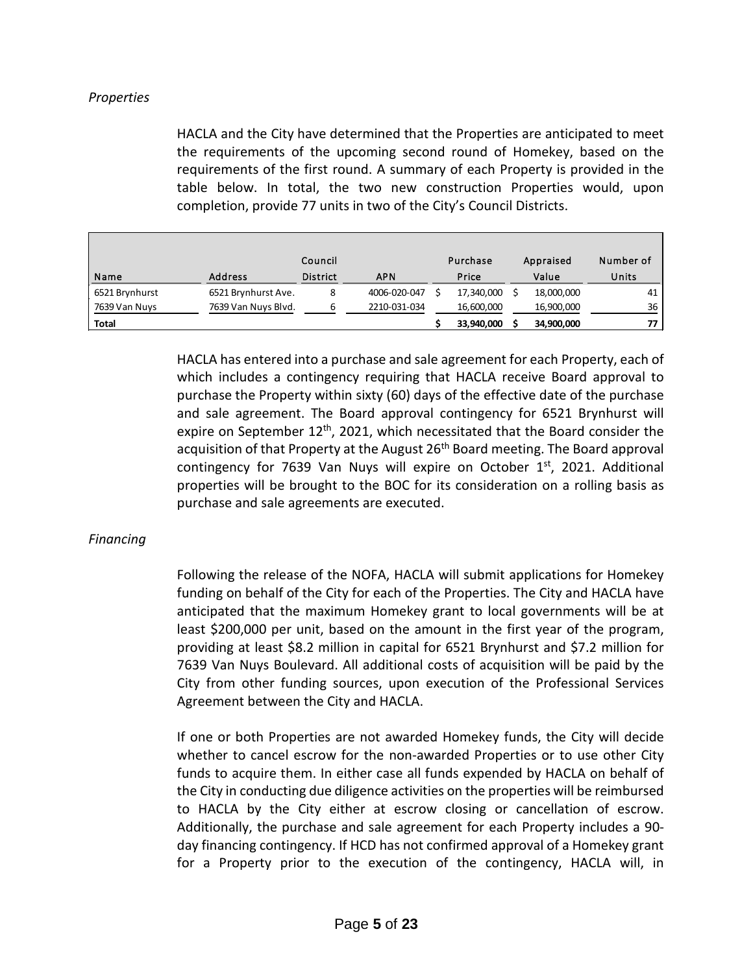## *Properties*

HACLA and the City have determined that the Properties are anticipated to meet the requirements of the upcoming second round of Homekey, based on the requirements of the first round. A summary of each Property is provided in the table below. In total, the two new construction Properties would, upon completion, provide 77 units in two of the City's Council Districts.

|                |                     | Council         |              | Purchase   | Appraised  | Number of |
|----------------|---------------------|-----------------|--------------|------------|------------|-----------|
| Name           | Address             | <b>District</b> | <b>APN</b>   | Price      | Value      | Units     |
| 6521 Brynhurst | 6521 Brynhurst Ave. | 8               | 4006-020-047 | 17,340,000 | 18,000,000 | 41        |
| 7639 Van Nuys  | 7639 Van Nuys Blvd. | ь               | 2210-031-034 | 16,600,000 | 16,900,000 | 36        |
| <b>Total</b>   |                     |                 |              | 33,940,000 | 34,900,000 |           |

HACLA has entered into a purchase and sale agreement for each Property, each of which includes a contingency requiring that HACLA receive Board approval to purchase the Property within sixty (60) days of the effective date of the purchase and sale agreement. The Board approval contingency for 6521 Brynhurst will expire on September  $12<sup>th</sup>$ , 2021, which necessitated that the Board consider the acquisition of that Property at the August 26<sup>th</sup> Board meeting. The Board approval contingency for 7639 Van Nuys will expire on October 1st, 2021. Additional properties will be brought to the BOC for its consideration on a rolling basis as purchase and sale agreements are executed.

### *Financing*

Following the release of the NOFA, HACLA will submit applications for Homekey funding on behalf of the City for each of the Properties. The City and HACLA have anticipated that the maximum Homekey grant to local governments will be at least \$200,000 per unit, based on the amount in the first year of the program, providing at least \$8.2 million in capital for 6521 Brynhurst and \$7.2 million for 7639 Van Nuys Boulevard. All additional costs of acquisition will be paid by the City from other funding sources, upon execution of the Professional Services Agreement between the City and HACLA.

If one or both Properties are not awarded Homekey funds, the City will decide whether to cancel escrow for the non-awarded Properties or to use other City funds to acquire them. In either case all funds expended by HACLA on behalf of the City in conducting due diligence activities on the properties will be reimbursed to HACLA by the City either at escrow closing or cancellation of escrow. Additionally, the purchase and sale agreement for each Property includes a 90 day financing contingency. If HCD has not confirmed approval of a Homekey grant for a Property prior to the execution of the contingency, HACLA will, in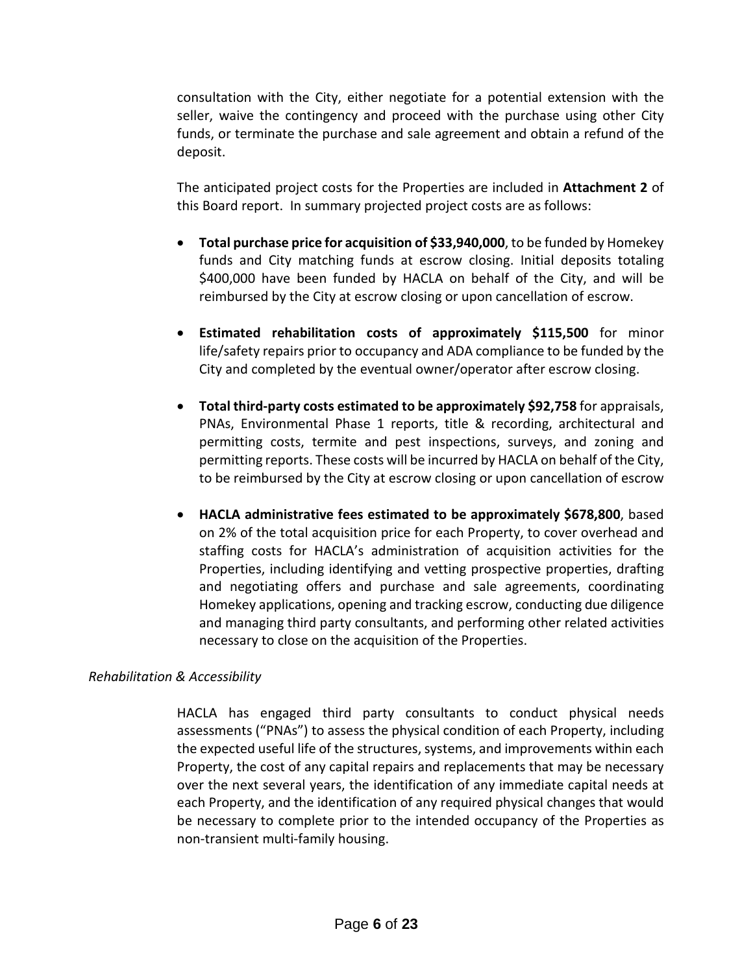consultation with the City, either negotiate for a potential extension with the seller, waive the contingency and proceed with the purchase using other City funds, or terminate the purchase and sale agreement and obtain a refund of the deposit.

 The anticipated project costs for the Properties are included in **Attachment 2** of this Board report. In summary projected project costs are as follows:

- **Total purchase price for acquisition of \$33,940,000**, to be funded by Homekey funds and City matching funds at escrow closing. Initial deposits totaling \$400,000 have been funded by HACLA on behalf of the City, and will be reimbursed by the City at escrow closing or upon cancellation of escrow.
- **Estimated rehabilitation costs of approximately \$115,500** for minor life/safety repairs prior to occupancy and ADA compliance to be funded by the City and completed by the eventual owner/operator after escrow closing.
- **Total third-party costs estimated to be approximately \$92,758** for appraisals, PNAs, Environmental Phase 1 reports, title & recording, architectural and permitting costs, termite and pest inspections, surveys, and zoning and permitting reports. These costs will be incurred by HACLA on behalf of the City, to be reimbursed by the City at escrow closing or upon cancellation of escrow
- **HACLA administrative fees estimated to be approximately \$678,800**, based on 2% of the total acquisition price for each Property, to cover overhead and staffing costs for HACLA's administration of acquisition activities for the Properties, including identifying and vetting prospective properties, drafting and negotiating offers and purchase and sale agreements, coordinating Homekey applications, opening and tracking escrow, conducting due diligence and managing third party consultants, and performing other related activities necessary to close on the acquisition of the Properties.

## *Rehabilitation & Accessibility*

HACLA has engaged third party consultants to conduct physical needs assessments ("PNAs") to assess the physical condition of each Property, including the expected useful life of the structures, systems, and improvements within each Property, the cost of any capital repairs and replacements that may be necessary over the next several years, the identification of any immediate capital needs at each Property, and the identification of any required physical changes that would be necessary to complete prior to the intended occupancy of the Properties as non-transient multi-family housing.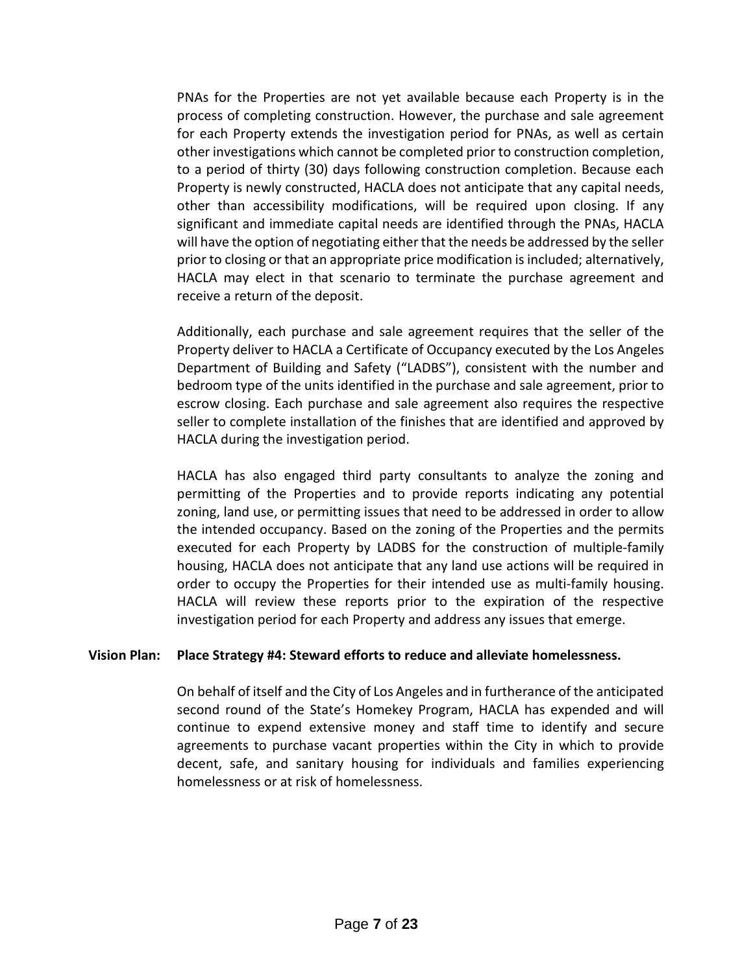PNAs for the Properties are not yet available because each Property is in the process of completing construction. However, the purchase and sale agreement for each Property extends the investigation period for PNAs, as well as certain other investigations which cannot be completed prior to construction completion, to a period of thirty (30) days following construction completion. Because each Property is newly constructed, HACLA does not anticipate that any capital needs, other than accessibility modifications, will be required upon closing. If any significant and immediate capital needs are identified through the PNAs, HACLA will have the option of negotiating either that the needs be addressed by the seller prior to closing or that an appropriate price modification is included; alternatively, HACLA may elect in that scenario to terminate the purchase agreement and receive a return of the deposit.

Additionally, each purchase and sale agreement requires that the seller of the Property deliver to HACLA a Certificate of Occupancy executed by the Los Angeles Department of Building and Safety ("LADBS"), consistent with the number and bedroom type of the units identified in the purchase and sale agreement, prior to escrow closing. Each purchase and sale agreement also requires the respective seller to complete installation of the finishes that are identified and approved by HACLA during the investigation period.

HACLA has also engaged third party consultants to analyze the zoning and permitting of the Properties and to provide reports indicating any potential zoning, land use, or permitting issues that need to be addressed in order to allow the intended occupancy. Based on the zoning of the Properties and the permits executed for each Property by LADBS for the construction of multiple-family housing, HACLA does not anticipate that any land use actions will be required in order to occupy the Properties for their intended use as multi-family housing. HACLA will review these reports prior to the expiration of the respective investigation period for each Property and address any issues that emerge.

### **Vision Plan: Place Strategy #4: Steward efforts to reduce and alleviate homelessness.**

On behalf of itself and the City of Los Angeles and in furtherance of the anticipated second round of the State's Homekey Program, HACLA has expended and will continue to expend extensive money and staff time to identify and secure agreements to purchase vacant properties within the City in which to provide decent, safe, and sanitary housing for individuals and families experiencing homelessness or at risk of homelessness.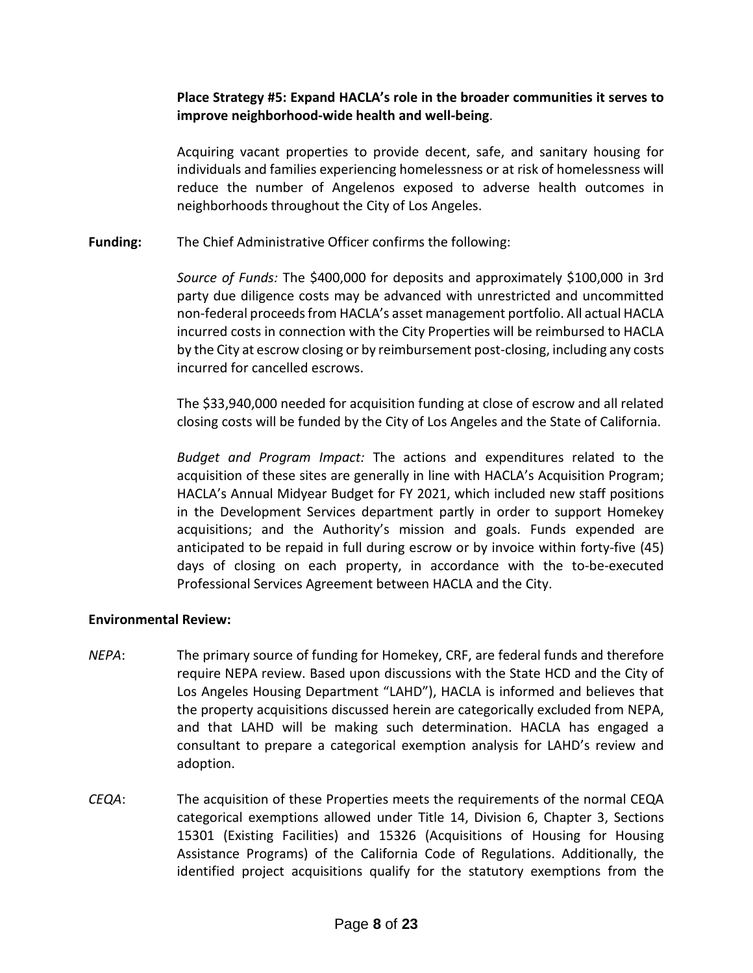## **Place Strategy #5: Expand HACLA's role in the broader communities it serves to improve neighborhood-wide health and well-being**.

Acquiring vacant properties to provide decent, safe, and sanitary housing for individuals and families experiencing homelessness or at risk of homelessness will reduce the number of Angelenos exposed to adverse health outcomes in neighborhoods throughout the City of Los Angeles.

## **Funding:** The Chief Administrative Officer confirms the following:

*Source of Funds:* The \$400,000 for deposits and approximately \$100,000 in 3rd party due diligence costs may be advanced with unrestricted and uncommitted non-federal proceeds from HACLA's asset management portfolio. All actual HACLA incurred costs in connection with the City Properties will be reimbursed to HACLA by the City at escrow closing or by reimbursement post-closing, including any costs incurred for cancelled escrows.

The \$33,940,000 needed for acquisition funding at close of escrow and all related closing costs will be funded by the City of Los Angeles and the State of California.

*Budget and Program Impact:* The actions and expenditures related to the acquisition of these sites are generally in line with HACLA's Acquisition Program; HACLA's Annual Midyear Budget for FY 2021, which included new staff positions in the Development Services department partly in order to support Homekey acquisitions; and the Authority's mission and goals. Funds expended are anticipated to be repaid in full during escrow or by invoice within forty-five (45) days of closing on each property, in accordance with the to-be-executed Professional Services Agreement between HACLA and the City.

## **Environmental Review:**

- *NEPA*: The primary source of funding for Homekey, CRF, are federal funds and therefore require NEPA review. Based upon discussions with the State HCD and the City of Los Angeles Housing Department "LAHD"), HACLA is informed and believes that the property acquisitions discussed herein are categorically excluded from NEPA, and that LAHD will be making such determination. HACLA has engaged a consultant to prepare a categorical exemption analysis for LAHD's review and adoption.
- *CEQA*: The acquisition of these Properties meets the requirements of the normal CEQA categorical exemptions allowed under Title 14, Division 6, Chapter 3, Sections 15301 (Existing Facilities) and 15326 (Acquisitions of Housing for Housing Assistance Programs) of the California Code of Regulations. Additionally, the identified project acquisitions qualify for the statutory exemptions from the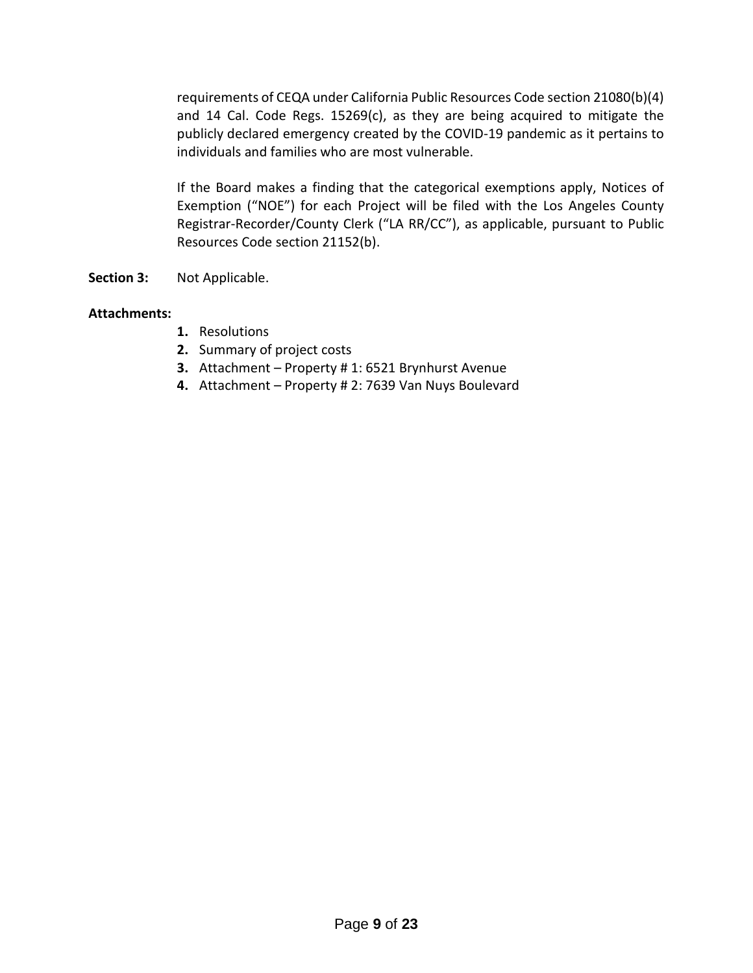requirements of CEQA under California Public Resources Code section 21080(b)(4) and 14 Cal. Code Regs. 15269(c), as they are being acquired to mitigate the publicly declared emergency created by the COVID-19 pandemic as it pertains to individuals and families who are most vulnerable.

If the Board makes a finding that the categorical exemptions apply, Notices of Exemption ("NOE") for each Project will be filed with the Los Angeles County Registrar-Recorder/County Clerk ("LA RR/CC"), as applicable, pursuant to Public Resources Code section 21152(b).

**Section 3:** Not Applicable.

## **Attachments:**

- **1.** Resolutions
- **2.** Summary of project costs
- **3.** Attachment Property # 1: 6521 Brynhurst Avenue
- **4.** Attachment Property # 2: 7639 Van Nuys Boulevard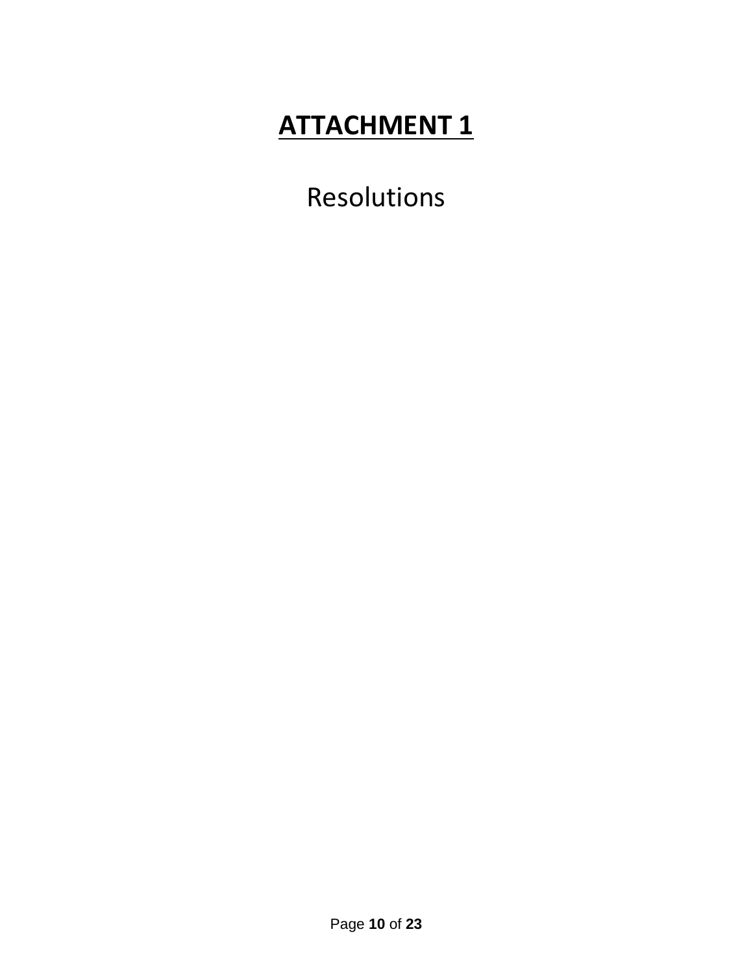Resolutions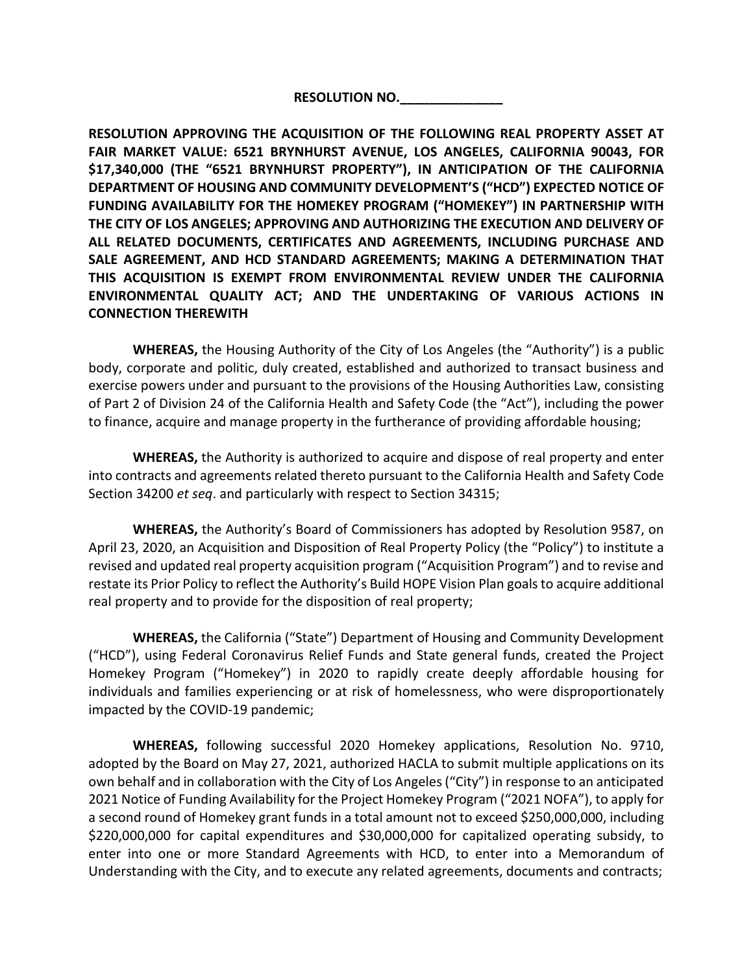**RESOLUTION NO.\_\_\_\_\_\_\_\_\_\_\_\_\_\_**

**RESOLUTION APPROVING THE ACQUISITION OF THE FOLLOWING REAL PROPERTY ASSET AT FAIR MARKET VALUE: 6521 BRYNHURST AVENUE, LOS ANGELES, CALIFORNIA 90043, FOR \$17,340,000 (THE "6521 BRYNHURST PROPERTY"), IN ANTICIPATION OF THE CALIFORNIA DEPARTMENT OF HOUSING AND COMMUNITY DEVELOPMENT'S ("HCD") EXPECTED NOTICE OF FUNDING AVAILABILITY FOR THE HOMEKEY PROGRAM ("HOMEKEY") IN PARTNERSHIP WITH THE CITY OF LOS ANGELES; APPROVING AND AUTHORIZING THE EXECUTION AND DELIVERY OF ALL RELATED DOCUMENTS, CERTIFICATES AND AGREEMENTS, INCLUDING PURCHASE AND SALE AGREEMENT, AND HCD STANDARD AGREEMENTS; MAKING A DETERMINATION THAT THIS ACQUISITION IS EXEMPT FROM ENVIRONMENTAL REVIEW UNDER THE CALIFORNIA ENVIRONMENTAL QUALITY ACT; AND THE UNDERTAKING OF VARIOUS ACTIONS IN CONNECTION THEREWITH**

**WHEREAS,** the Housing Authority of the City of Los Angeles (the "Authority") is a public body, corporate and politic, duly created, established and authorized to transact business and exercise powers under and pursuant to the provisions of the Housing Authorities Law, consisting of Part 2 of Division 24 of the California Health and Safety Code (the "Act"), including the power to finance, acquire and manage property in the furtherance of providing affordable housing;

**WHEREAS,** the Authority is authorized to acquire and dispose of real property and enter into contracts and agreements related thereto pursuant to the California Health and Safety Code Section 34200 *et seq*. and particularly with respect to Section 34315;

**WHEREAS,** the Authority's Board of Commissioners has adopted by Resolution 9587, on April 23, 2020, an Acquisition and Disposition of Real Property Policy (the "Policy") to institute a revised and updated real property acquisition program ("Acquisition Program") and to revise and restate its Prior Policy to reflect the Authority's Build HOPE Vision Plan goals to acquire additional real property and to provide for the disposition of real property;

**WHEREAS,** the California ("State") Department of Housing and Community Development ("HCD"), using Federal Coronavirus Relief Funds and State general funds, created the Project Homekey Program ("Homekey") in 2020 to rapidly create deeply affordable housing for individuals and families experiencing or at risk of homelessness, who were disproportionately impacted by the COVID-19 pandemic;

**WHEREAS,** following successful 2020 Homekey applications, Resolution No. 9710, adopted by the Board on May 27, 2021, authorized HACLA to submit multiple applications on its own behalf and in collaboration with the City of Los Angeles ("City") in response to an anticipated 2021 Notice of Funding Availability for the Project Homekey Program ("2021 NOFA"), to apply for a second round of Homekey grant funds in a total amount not to exceed \$250,000,000, including \$220,000,000 for capital expenditures and \$30,000,000 for capitalized operating subsidy, to enter into one or more Standard Agreements with HCD, to enter into a Memorandum of Understanding with the City, and to execute any related agreements, documents and contracts;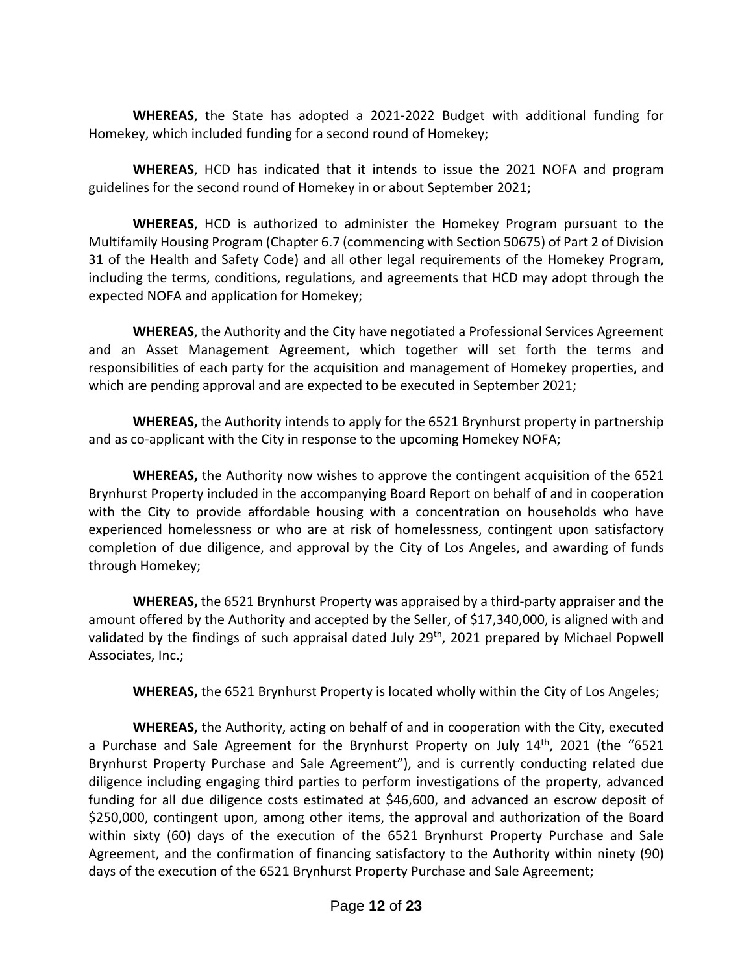**WHEREAS**, the State has adopted a 2021-2022 Budget with additional funding for Homekey, which included funding for a second round of Homekey;

**WHEREAS**, HCD has indicated that it intends to issue the 2021 NOFA and program guidelines for the second round of Homekey in or about September 2021;

**WHEREAS**, HCD is authorized to administer the Homekey Program pursuant to the Multifamily Housing Program (Chapter 6.7 (commencing with Section 50675) of Part 2 of Division 31 of the Health and Safety Code) and all other legal requirements of the Homekey Program, including the terms, conditions, regulations, and agreements that HCD may adopt through the expected NOFA and application for Homekey;

**WHEREAS**, the Authority and the City have negotiated a Professional Services Agreement and an Asset Management Agreement, which together will set forth the terms and responsibilities of each party for the acquisition and management of Homekey properties, and which are pending approval and are expected to be executed in September 2021;

**WHEREAS,** the Authority intends to apply for the 6521 Brynhurst property in partnership and as co-applicant with the City in response to the upcoming Homekey NOFA;

**WHEREAS,** the Authority now wishes to approve the contingent acquisition of the 6521 Brynhurst Property included in the accompanying Board Report on behalf of and in cooperation with the City to provide affordable housing with a concentration on households who have experienced homelessness or who are at risk of homelessness, contingent upon satisfactory completion of due diligence, and approval by the City of Los Angeles, and awarding of funds through Homekey;

**WHEREAS,** the 6521 Brynhurst Property was appraised by a third-party appraiser and the amount offered by the Authority and accepted by the Seller, of \$17,340,000, is aligned with and validated by the findings of such appraisal dated July 29<sup>th</sup>, 2021 prepared by Michael Popwell Associates, Inc.;

**WHEREAS,** the 6521 Brynhurst Property is located wholly within the City of Los Angeles;

**WHEREAS,** the Authority, acting on behalf of and in cooperation with the City, executed a Purchase and Sale Agreement for the Brynhurst Property on July  $14<sup>th</sup>$ , 2021 (the "6521 Brynhurst Property Purchase and Sale Agreement"), and is currently conducting related due diligence including engaging third parties to perform investigations of the property, advanced funding for all due diligence costs estimated at \$46,600, and advanced an escrow deposit of \$250,000, contingent upon, among other items, the approval and authorization of the Board within sixty (60) days of the execution of the 6521 Brynhurst Property Purchase and Sale Agreement, and the confirmation of financing satisfactory to the Authority within ninety (90) days of the execution of the 6521 Brynhurst Property Purchase and Sale Agreement;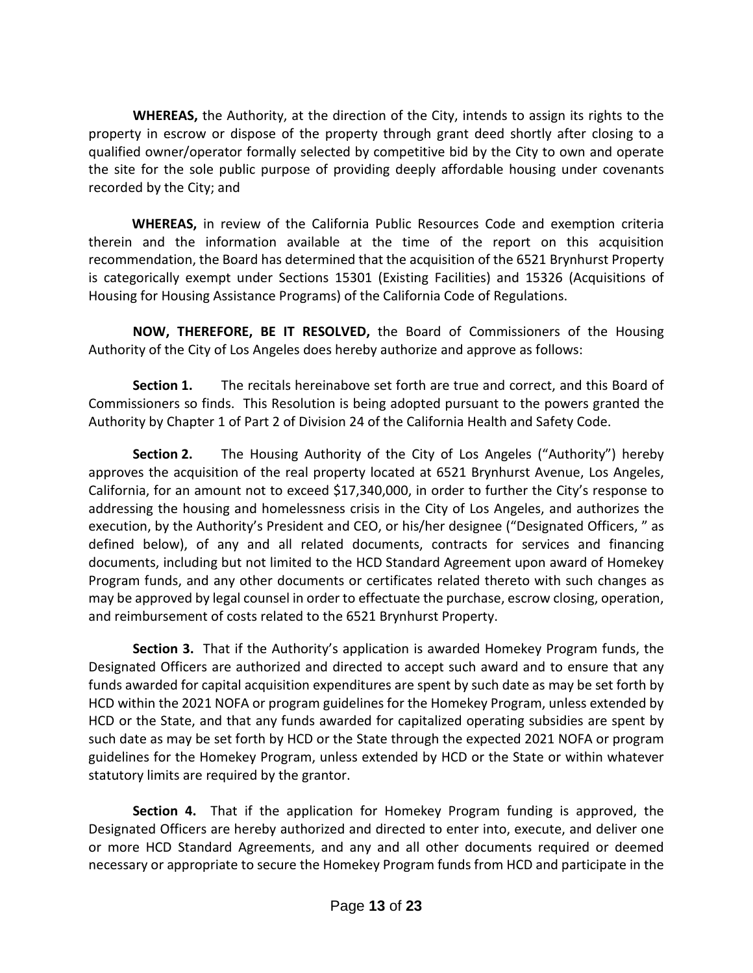**WHEREAS,** the Authority, at the direction of the City, intends to assign its rights to the property in escrow or dispose of the property through grant deed shortly after closing to a qualified owner/operator formally selected by competitive bid by the City to own and operate the site for the sole public purpose of providing deeply affordable housing under covenants recorded by the City; and

 **WHEREAS,** in review of the California Public Resources Code and exemption criteria therein and the information available at the time of the report on this acquisition recommendation, the Board has determined that the acquisition of the 6521 Brynhurst Property is categorically exempt under Sections 15301 (Existing Facilities) and 15326 (Acquisitions of Housing for Housing Assistance Programs) of the California Code of Regulations.

**NOW, THEREFORE, BE IT RESOLVED,** the Board of Commissioners of the Housing Authority of the City of Los Angeles does hereby authorize and approve as follows:

**Section 1.** The recitals hereinabove set forth are true and correct, and this Board of Commissioners so finds. This Resolution is being adopted pursuant to the powers granted the Authority by Chapter 1 of Part 2 of Division 24 of the California Health and Safety Code.

**Section 2.** The Housing Authority of the City of Los Angeles ("Authority") hereby approves the acquisition of the real property located at 6521 Brynhurst Avenue, Los Angeles, California, for an amount not to exceed \$17,340,000, in order to further the City's response to addressing the housing and homelessness crisis in the City of Los Angeles, and authorizes the execution, by the Authority's President and CEO, or his/her designee ("Designated Officers, " as defined below), of any and all related documents, contracts for services and financing documents, including but not limited to the HCD Standard Agreement upon award of Homekey Program funds, and any other documents or certificates related thereto with such changes as may be approved by legal counsel in order to effectuate the purchase, escrow closing, operation, and reimbursement of costs related to the 6521 Brynhurst Property.

**Section 3.** That if the Authority's application is awarded Homekey Program funds, the Designated Officers are authorized and directed to accept such award and to ensure that any funds awarded for capital acquisition expenditures are spent by such date as may be set forth by HCD within the 2021 NOFA or program guidelines for the Homekey Program, unless extended by HCD or the State, and that any funds awarded for capitalized operating subsidies are spent by such date as may be set forth by HCD or the State through the expected 2021 NOFA or program guidelines for the Homekey Program, unless extended by HCD or the State or within whatever statutory limits are required by the grantor.

**Section 4.** That if the application for Homekey Program funding is approved, the Designated Officers are hereby authorized and directed to enter into, execute, and deliver one or more HCD Standard Agreements, and any and all other documents required or deemed necessary or appropriate to secure the Homekey Program funds from HCD and participate in the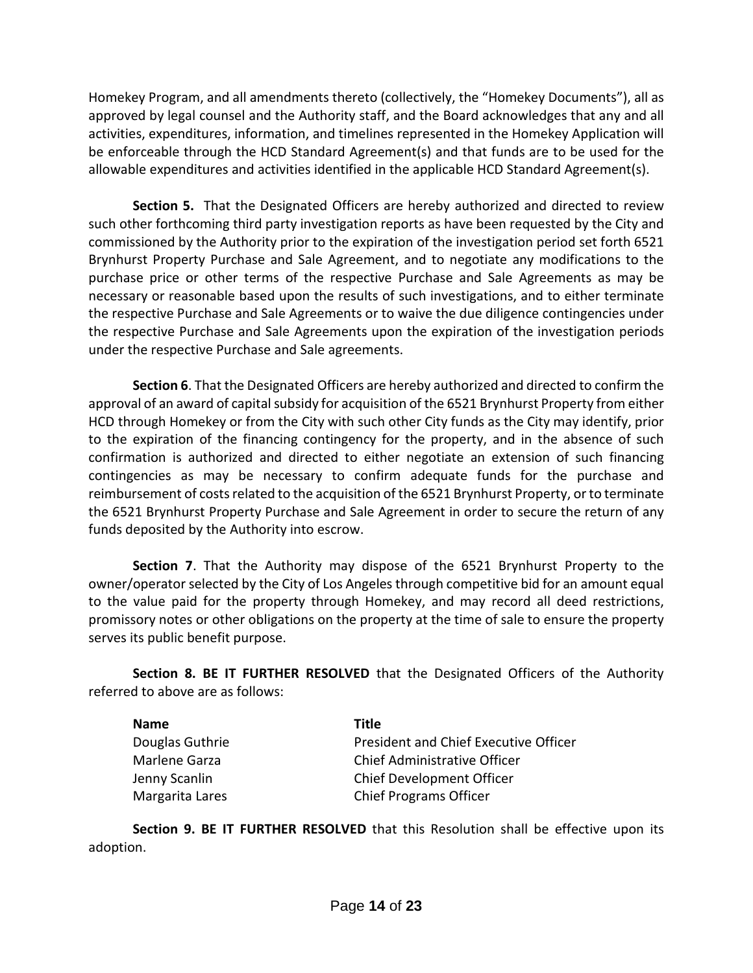Homekey Program, and all amendments thereto (collectively, the "Homekey Documents"), all as approved by legal counsel and the Authority staff, and the Board acknowledges that any and all activities, expenditures, information, and timelines represented in the Homekey Application will be enforceable through the HCD Standard Agreement(s) and that funds are to be used for the allowable expenditures and activities identified in the applicable HCD Standard Agreement(s).

**Section 5.** That the Designated Officers are hereby authorized and directed to review such other forthcoming third party investigation reports as have been requested by the City and commissioned by the Authority prior to the expiration of the investigation period set forth 6521 Brynhurst Property Purchase and Sale Agreement, and to negotiate any modifications to the purchase price or other terms of the respective Purchase and Sale Agreements as may be necessary or reasonable based upon the results of such investigations, and to either terminate the respective Purchase and Sale Agreements or to waive the due diligence contingencies under the respective Purchase and Sale Agreements upon the expiration of the investigation periods under the respective Purchase and Sale agreements.

**Section 6**. That the Designated Officers are hereby authorized and directed to confirm the approval of an award of capital subsidy for acquisition of the 6521 Brynhurst Property from either HCD through Homekey or from the City with such other City funds as the City may identify, prior to the expiration of the financing contingency for the property, and in the absence of such confirmation is authorized and directed to either negotiate an extension of such financing contingencies as may be necessary to confirm adequate funds for the purchase and reimbursement of costs related to the acquisition of the 6521 Brynhurst Property, or to terminate the 6521 Brynhurst Property Purchase and Sale Agreement in order to secure the return of any funds deposited by the Authority into escrow.

**Section 7**. That the Authority may dispose of the 6521 Brynhurst Property to the owner/operator selected by the City of Los Angeles through competitive bid for an amount equal to the value paid for the property through Homekey, and may record all deed restrictions, promissory notes or other obligations on the property at the time of sale to ensure the property serves its public benefit purpose.

**Section 8. BE IT FURTHER RESOLVED** that the Designated Officers of the Authority referred to above are as follows:

| <b>Name</b>     | Title                                 |
|-----------------|---------------------------------------|
| Douglas Guthrie | President and Chief Executive Officer |
| Marlene Garza   | Chief Administrative Officer          |
| Jenny Scanlin   | Chief Development Officer             |
| Margarita Lares | <b>Chief Programs Officer</b>         |

**Section 9. BE IT FURTHER RESOLVED** that this Resolution shall be effective upon its adoption.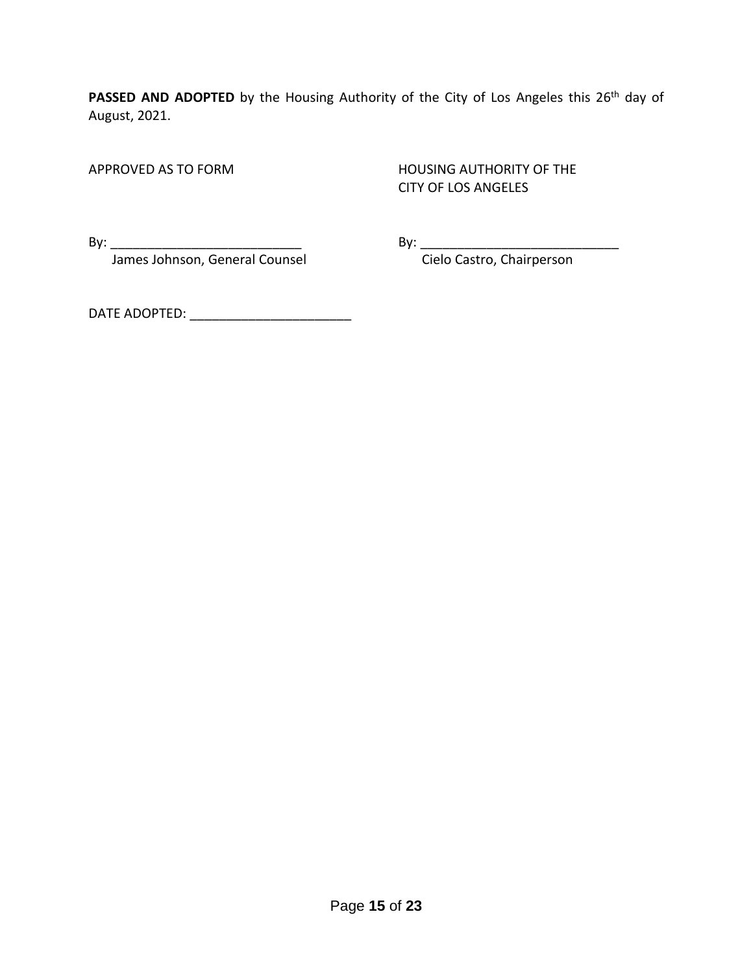PASSED AND ADOPTED by the Housing Authority of the City of Los Angeles this 26<sup>th</sup> day of August, 2021.

APPROVED AS TO FORM HOUSING AUTHORITY OF THE CITY OF LOS ANGELES

James Johnson, General Counsel **Constanding Construment Cielo Castro**, Chairperson

By: \_\_\_\_\_\_\_\_\_\_\_\_\_\_\_\_\_\_\_\_\_\_\_\_\_\_ By: \_\_\_\_\_\_\_\_\_\_\_\_\_\_\_\_\_\_\_\_\_\_\_\_\_\_\_

DATE ADOPTED: \_\_\_\_\_\_\_\_\_\_\_\_\_\_\_\_\_\_\_\_\_\_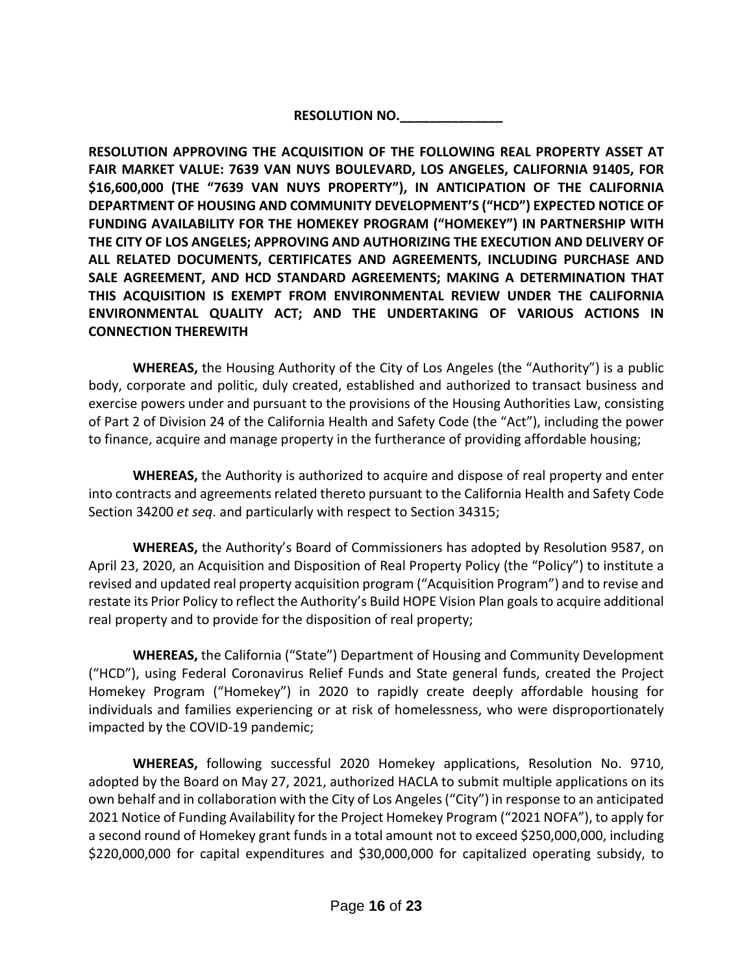**RESOLUTION NO.\_\_\_\_\_\_\_\_\_\_\_\_\_\_**

**RESOLUTION APPROVING THE ACQUISITION OF THE FOLLOWING REAL PROPERTY ASSET AT FAIR MARKET VALUE: 7639 VAN NUYS BOULEVARD, LOS ANGELES, CALIFORNIA 91405, FOR \$16,600,000 (THE "7639 VAN NUYS PROPERTY"), IN ANTICIPATION OF THE CALIFORNIA DEPARTMENT OF HOUSING AND COMMUNITY DEVELOPMENT'S ("HCD") EXPECTED NOTICE OF FUNDING AVAILABILITY FOR THE HOMEKEY PROGRAM ("HOMEKEY") IN PARTNERSHIP WITH THE CITY OF LOS ANGELES; APPROVING AND AUTHORIZING THE EXECUTION AND DELIVERY OF ALL RELATED DOCUMENTS, CERTIFICATES AND AGREEMENTS, INCLUDING PURCHASE AND SALE AGREEMENT, AND HCD STANDARD AGREEMENTS; MAKING A DETERMINATION THAT THIS ACQUISITION IS EXEMPT FROM ENVIRONMENTAL REVIEW UNDER THE CALIFORNIA ENVIRONMENTAL QUALITY ACT; AND THE UNDERTAKING OF VARIOUS ACTIONS IN CONNECTION THEREWITH**

**WHEREAS,** the Housing Authority of the City of Los Angeles (the "Authority") is a public body, corporate and politic, duly created, established and authorized to transact business and exercise powers under and pursuant to the provisions of the Housing Authorities Law, consisting of Part 2 of Division 24 of the California Health and Safety Code (the "Act"), including the power to finance, acquire and manage property in the furtherance of providing affordable housing;

**WHEREAS,** the Authority is authorized to acquire and dispose of real property and enter into contracts and agreements related thereto pursuant to the California Health and Safety Code Section 34200 *et seq*. and particularly with respect to Section 34315;

**WHEREAS,** the Authority's Board of Commissioners has adopted by Resolution 9587, on April 23, 2020, an Acquisition and Disposition of Real Property Policy (the "Policy") to institute a revised and updated real property acquisition program ("Acquisition Program") and to revise and restate its Prior Policy to reflect the Authority's Build HOPE Vision Plan goals to acquire additional real property and to provide for the disposition of real property;

**WHEREAS,** the California ("State") Department of Housing and Community Development ("HCD"), using Federal Coronavirus Relief Funds and State general funds, created the Project Homekey Program ("Homekey") in 2020 to rapidly create deeply affordable housing for individuals and families experiencing or at risk of homelessness, who were disproportionately impacted by the COVID-19 pandemic;

**WHEREAS,** following successful 2020 Homekey applications, Resolution No. 9710, adopted by the Board on May 27, 2021, authorized HACLA to submit multiple applications on its own behalf and in collaboration with the City of Los Angeles ("City") in response to an anticipated 2021 Notice of Funding Availability for the Project Homekey Program ("2021 NOFA"), to apply for a second round of Homekey grant funds in a total amount not to exceed \$250,000,000, including \$220,000,000 for capital expenditures and \$30,000,000 for capitalized operating subsidy, to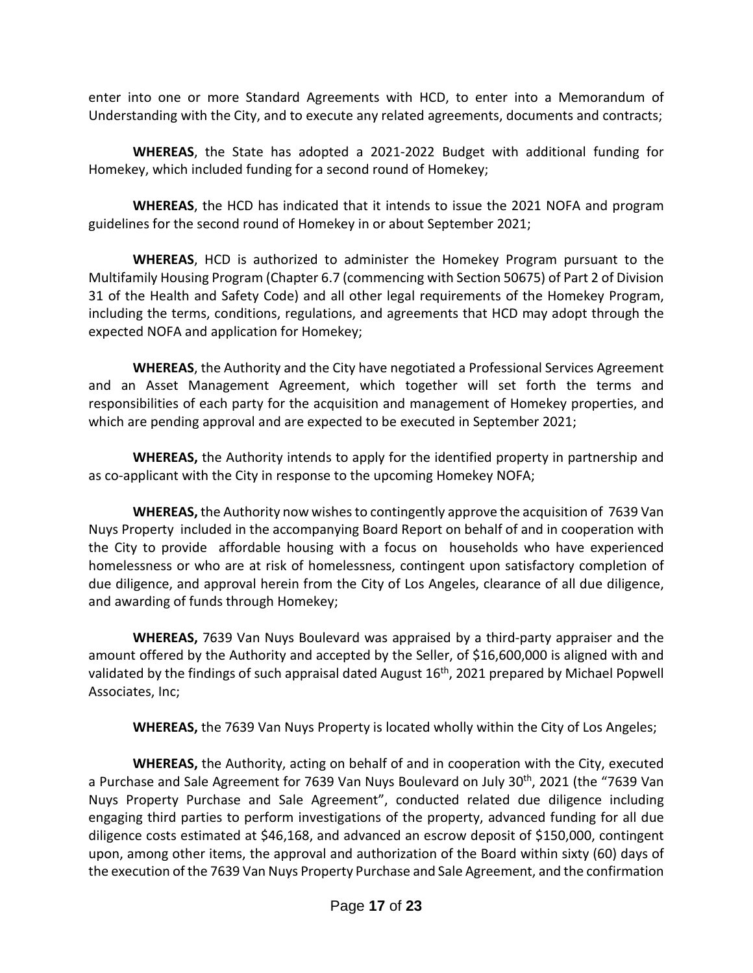enter into one or more Standard Agreements with HCD, to enter into a Memorandum of Understanding with the City, and to execute any related agreements, documents and contracts;

**WHEREAS**, the State has adopted a 2021-2022 Budget with additional funding for Homekey, which included funding for a second round of Homekey;

**WHEREAS**, the HCD has indicated that it intends to issue the 2021 NOFA and program guidelines for the second round of Homekey in or about September 2021;

**WHEREAS**, HCD is authorized to administer the Homekey Program pursuant to the Multifamily Housing Program (Chapter 6.7 (commencing with Section 50675) of Part 2 of Division 31 of the Health and Safety Code) and all other legal requirements of the Homekey Program, including the terms, conditions, regulations, and agreements that HCD may adopt through the expected NOFA and application for Homekey;

**WHEREAS**, the Authority and the City have negotiated a Professional Services Agreement and an Asset Management Agreement, which together will set forth the terms and responsibilities of each party for the acquisition and management of Homekey properties, and which are pending approval and are expected to be executed in September 2021;

**WHEREAS,** the Authority intends to apply for the identified property in partnership and as co-applicant with the City in response to the upcoming Homekey NOFA;

**WHEREAS,** the Authority now wishes to contingently approve the acquisition of 7639 Van Nuys Property included in the accompanying Board Report on behalf of and in cooperation with the City to provide affordable housing with a focus on households who have experienced homelessness or who are at risk of homelessness, contingent upon satisfactory completion of due diligence, and approval herein from the City of Los Angeles, clearance of all due diligence, and awarding of funds through Homekey;

**WHEREAS,** 7639 Van Nuys Boulevard was appraised by a third-party appraiser and the amount offered by the Authority and accepted by the Seller, of \$16,600,000 is aligned with and validated by the findings of such appraisal dated August 16<sup>th</sup>, 2021 prepared by Michael Popwell Associates, Inc;

**WHEREAS,** the 7639 Van Nuys Property is located wholly within the City of Los Angeles;

**WHEREAS,** the Authority, acting on behalf of and in cooperation with the City, executed a Purchase and Sale Agreement for 7639 Van Nuys Boulevard on July 30th, 2021 (the "7639 Van Nuys Property Purchase and Sale Agreement", conducted related due diligence including engaging third parties to perform investigations of the property, advanced funding for all due diligence costs estimated at \$46,168, and advanced an escrow deposit of \$150,000, contingent upon, among other items, the approval and authorization of the Board within sixty (60) days of the execution of the 7639 Van Nuys Property Purchase and Sale Agreement, and the confirmation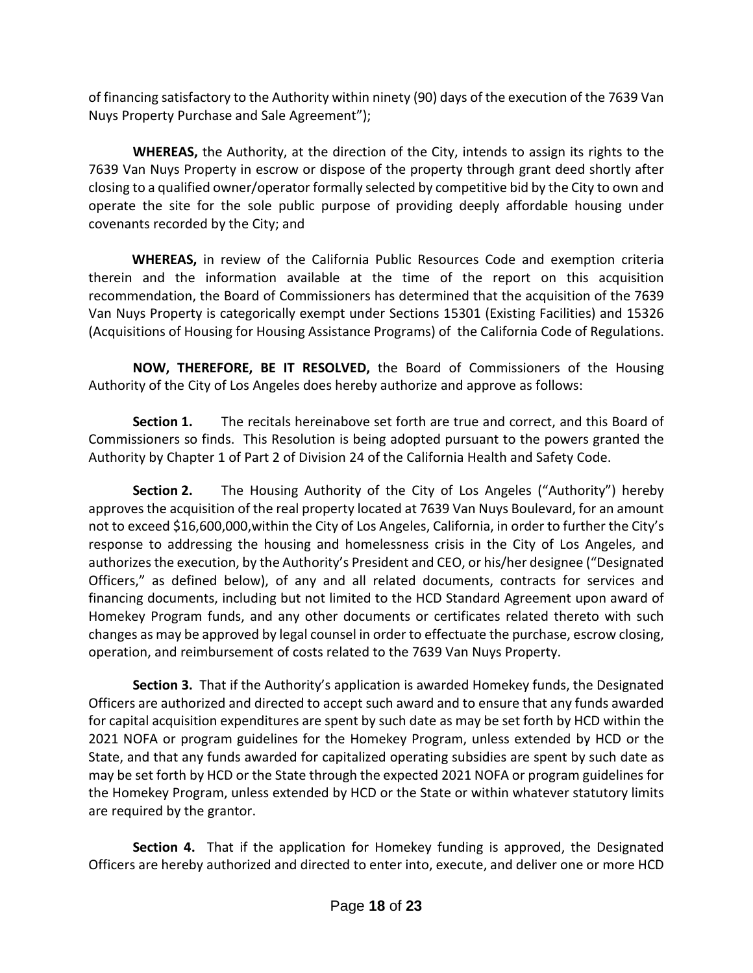of financing satisfactory to the Authority within ninety (90) days of the execution of the 7639 Van Nuys Property Purchase and Sale Agreement");

**WHEREAS,** the Authority, at the direction of the City, intends to assign its rights to the 7639 Van Nuys Property in escrow or dispose of the property through grant deed shortly after closing to a qualified owner/operator formally selected by competitive bid by the City to own and operate the site for the sole public purpose of providing deeply affordable housing under covenants recorded by the City; and

 **WHEREAS,** in review of the California Public Resources Code and exemption criteria therein and the information available at the time of the report on this acquisition recommendation, the Board of Commissioners has determined that the acquisition of the 7639 Van Nuys Property is categorically exempt under Sections 15301 (Existing Facilities) and 15326 (Acquisitions of Housing for Housing Assistance Programs) of the California Code of Regulations.

**NOW, THEREFORE, BE IT RESOLVED,** the Board of Commissioners of the Housing Authority of the City of Los Angeles does hereby authorize and approve as follows:

**Section 1.** The recitals hereinabove set forth are true and correct, and this Board of Commissioners so finds. This Resolution is being adopted pursuant to the powers granted the Authority by Chapter 1 of Part 2 of Division 24 of the California Health and Safety Code.

**Section 2.** The Housing Authority of the City of Los Angeles ("Authority") hereby approves the acquisition of the real property located at 7639 Van Nuys Boulevard, for an amount not to exceed \$16,600,000,within the City of Los Angeles, California, in order to further the City's response to addressing the housing and homelessness crisis in the City of Los Angeles, and authorizes the execution, by the Authority's President and CEO, or his/her designee ("Designated Officers," as defined below), of any and all related documents, contracts for services and financing documents, including but not limited to the HCD Standard Agreement upon award of Homekey Program funds, and any other documents or certificates related thereto with such changes as may be approved by legal counsel in order to effectuate the purchase, escrow closing, operation, and reimbursement of costs related to the 7639 Van Nuys Property.

**Section 3.** That if the Authority's application is awarded Homekey funds, the Designated Officers are authorized and directed to accept such award and to ensure that any funds awarded for capital acquisition expenditures are spent by such date as may be set forth by HCD within the 2021 NOFA or program guidelines for the Homekey Program, unless extended by HCD or the State, and that any funds awarded for capitalized operating subsidies are spent by such date as may be set forth by HCD or the State through the expected 2021 NOFA or program guidelines for the Homekey Program, unless extended by HCD or the State or within whatever statutory limits are required by the grantor.

**Section 4.** That if the application for Homekey funding is approved, the Designated Officers are hereby authorized and directed to enter into, execute, and deliver one or more HCD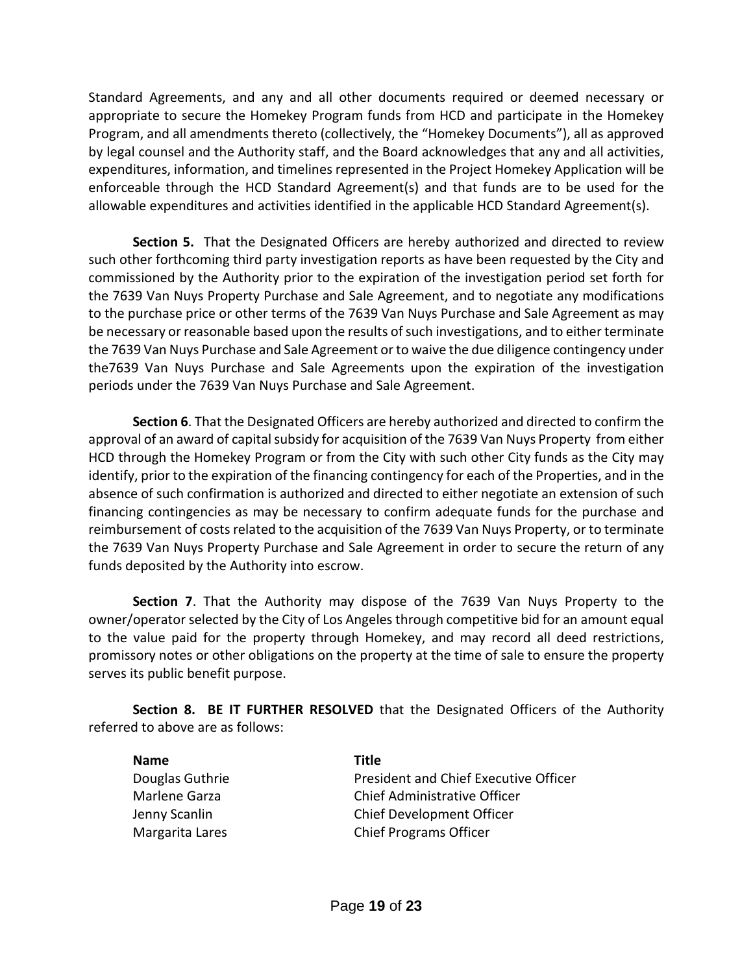Standard Agreements, and any and all other documents required or deemed necessary or appropriate to secure the Homekey Program funds from HCD and participate in the Homekey Program, and all amendments thereto (collectively, the "Homekey Documents"), all as approved by legal counsel and the Authority staff, and the Board acknowledges that any and all activities, expenditures, information, and timelines represented in the Project Homekey Application will be enforceable through the HCD Standard Agreement(s) and that funds are to be used for the allowable expenditures and activities identified in the applicable HCD Standard Agreement(s).

**Section 5.** That the Designated Officers are hereby authorized and directed to review such other forthcoming third party investigation reports as have been requested by the City and commissioned by the Authority prior to the expiration of the investigation period set forth for the 7639 Van Nuys Property Purchase and Sale Agreement, and to negotiate any modifications to the purchase price or other terms of the 7639 Van Nuys Purchase and Sale Agreement as may be necessary or reasonable based upon the results of such investigations, and to either terminate the 7639 Van Nuys Purchase and Sale Agreement or to waive the due diligence contingency under the7639 Van Nuys Purchase and Sale Agreements upon the expiration of the investigation periods under the 7639 Van Nuys Purchase and Sale Agreement.

**Section 6**. That the Designated Officers are hereby authorized and directed to confirm the approval of an award of capital subsidy for acquisition of the 7639 Van Nuys Property from either HCD through the Homekey Program or from the City with such other City funds as the City may identify, prior to the expiration of the financing contingency for each of the Properties, and in the absence of such confirmation is authorized and directed to either negotiate an extension of such financing contingencies as may be necessary to confirm adequate funds for the purchase and reimbursement of costs related to the acquisition of the 7639 Van Nuys Property, or to terminate the 7639 Van Nuys Property Purchase and Sale Agreement in order to secure the return of any funds deposited by the Authority into escrow.

**Section 7**. That the Authority may dispose of the 7639 Van Nuys Property to the owner/operator selected by the City of Los Angeles through competitive bid for an amount equal to the value paid for the property through Homekey, and may record all deed restrictions, promissory notes or other obligations on the property at the time of sale to ensure the property serves its public benefit purpose.

**Section 8. BE IT FURTHER RESOLVED** that the Designated Officers of the Authority referred to above are as follows:

| <b>Name</b>     | Title                                 |
|-----------------|---------------------------------------|
| Douglas Guthrie | President and Chief Executive Officer |
| Marlene Garza   | Chief Administrative Officer          |
| Jenny Scanlin   | Chief Development Officer             |
| Margarita Lares | <b>Chief Programs Officer</b>         |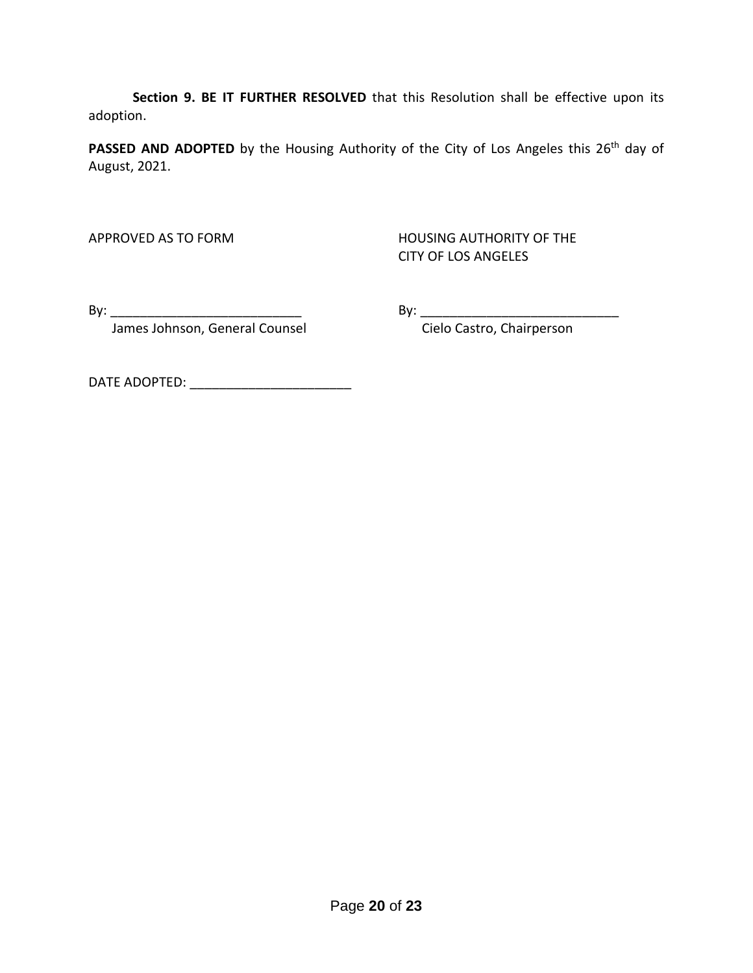**Section 9. BE IT FURTHER RESOLVED** that this Resolution shall be effective upon its adoption.

PASSED AND ADOPTED by the Housing Authority of the City of Los Angeles this 26<sup>th</sup> day of August, 2021.

APPROVED AS TO FORM HOUSING AUTHORITY OF THE CITY OF LOS ANGELES

By: \_\_\_\_\_\_\_\_\_\_\_\_\_\_\_\_\_\_\_\_\_\_\_\_\_\_ By: \_\_\_\_\_\_\_\_\_\_\_\_\_\_\_\_\_\_\_\_\_\_\_\_\_\_\_

James Johnson, General Counsel **Constanding Construment Cielo Castro**, Chairperson

DATE ADOPTED: \_\_\_\_\_\_\_\_\_\_\_\_\_\_\_\_\_\_\_\_\_\_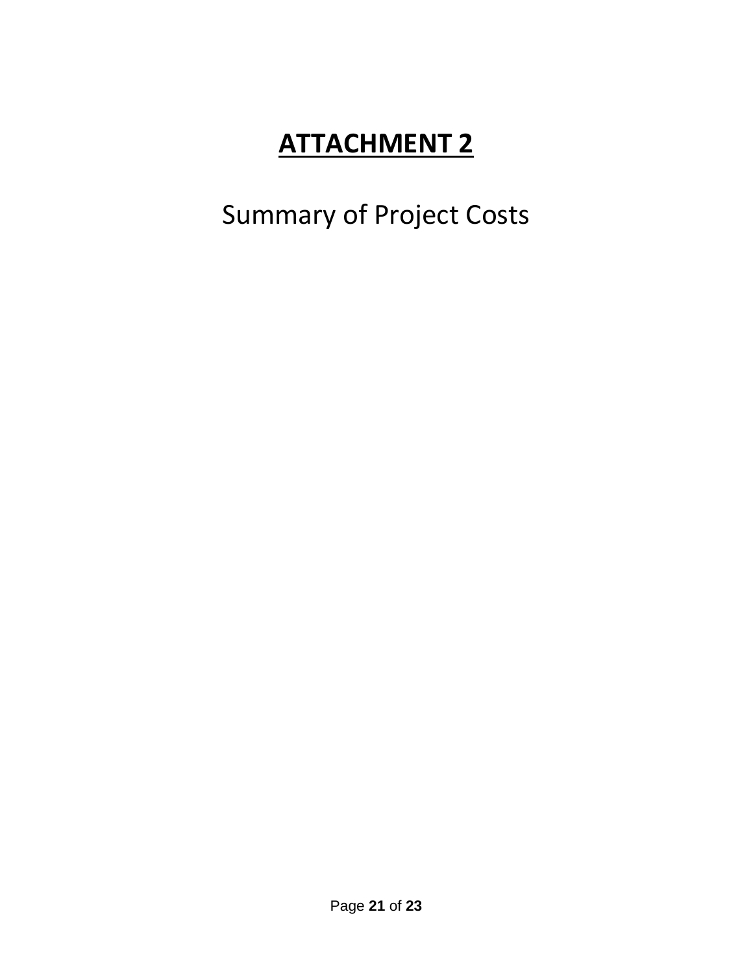## Summary of Project Costs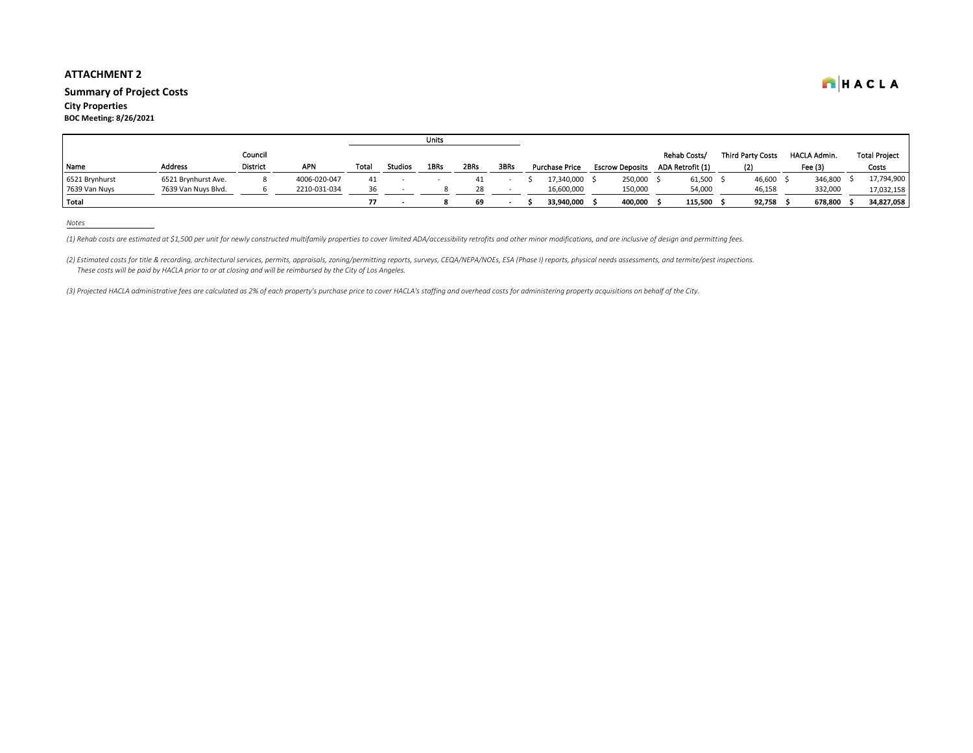#### **Summary of Project Costs**

**City Properties BOC Meeting: 8/26/2021**

|                |                     |                 |              |       |                | <b>Units</b> |      |      |                       |                        |                  |                          |                     |                      |
|----------------|---------------------|-----------------|--------------|-------|----------------|--------------|------|------|-----------------------|------------------------|------------------|--------------------------|---------------------|----------------------|
|                |                     | Council         |              |       |                |              |      |      |                       |                        | Rehab Costs/     | <b>Third Party Costs</b> | <b>HACLA Admin.</b> | <b>Total Project</b> |
| Name           | <b>Address</b>      | <b>District</b> | <b>APN</b>   | Total | <b>Studios</b> | 1BRs         | 2BRs | 3BRs | <b>Purchase Price</b> | <b>Escrow Deposits</b> | ADA Retrofit (1) |                          | Fee (3)             | Costs                |
| 6521 Brynhurst | 6521 Brynhurst Ave. |                 | 4006-020-047 | 41    |                |              | 41   |      | 17.340.000            | 250,000                | 61,500           | 46,600                   | 346,800             | 17,794,900           |
| 7639 Van Nuys  | 7639 Van Nuys Blvd. |                 | 2210-031-034 |       |                |              |      |      | 16,600,000            | 150,000                | 54,000           | 46,158                   | 332,000             | 17,032,158           |
| Total          |                     |                 |              |       |                |              | 69   |      | 33.940.000            | 400,000                | 115,500          | 92,758                   | 678,800             | 34,827,058           |

*Notes*

(1) Rehab costs are estimated at \$1,500 per unit for newly constructed multifamily properties to cover limited ADA/accessibility retrofits and other minor modifications, and are inclusive of design and permitting fees.

(2) Estimated costs for title & recording, architectural services, permits, appraisals, zoning/permitting reports, surveys, CEQA/NEPA/NOEs, ESA (Phase I) reports, physical needs assessments, and termite/pest inspections.  *These costs will be paid by HACLA prior to or at closing and will be reimbursed by the City of Los Angeles.*

*(3) Projected HACLA administrative fees are calculated as 2% of each property's purchase price to cover HACLA's staffing and overhead costs for administering property acquisitions on behalf of the City.*

HACLA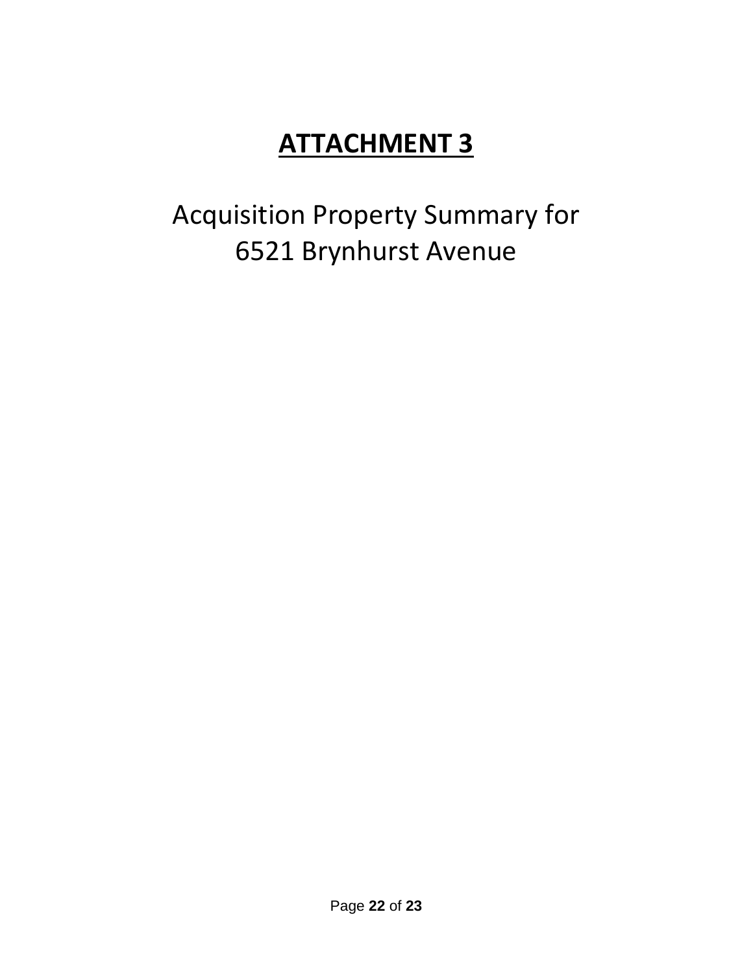# Acquisition Property Summary for 6521 Brynhurst Avenue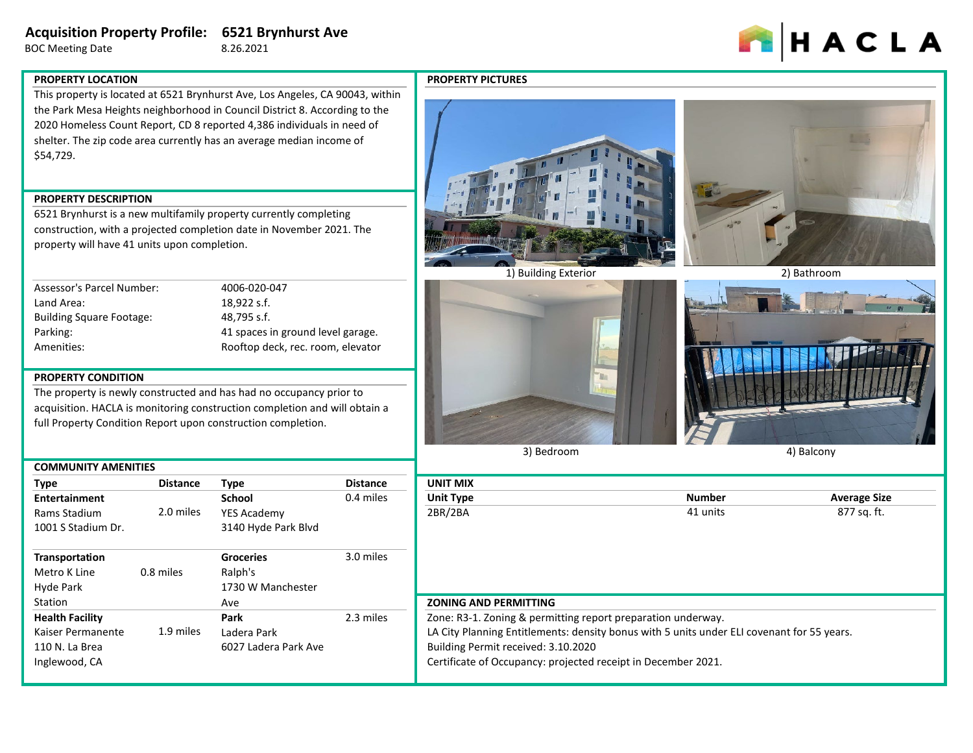## **Acquisition Property Profile: 6521 Brynhurst Ave**

BOC Meeting Date 8.26.2021



#### **PROPERTY LOCATION**

This property is located at 6521 Brynhurst Ave, Los Angeles, CA 90043, within the Park Mesa Heights neighborhood in Council District 8. According to the 2020 Homeless Count Report, CD 8 reported 4,386 individuals in need of shelter. The zip code area currently has an average median income of \$54,729.

#### **PROPERTY DESCRIPTION**

6521 Brynhurst is a new multifamily property currently completing construction, with a projected completion date in November 2021. The property will have 41 units upon completion.

| Assessor's Parcel Number:       | 4006-020-047                      |
|---------------------------------|-----------------------------------|
| Land Area:                      | 18.922 s.f.                       |
| <b>Building Square Footage:</b> | 48.795 s.f.                       |
| Parking:                        | 41 spaces in ground level garage. |
| Amenities:                      | Rooftop deck, rec. room, elevator |
|                                 |                                   |

#### **PROPERTY CONDITION**

The property is newly constructed and has had no occupancy prior to acquisition. HACLA is monitoring construction completion and will obtain a full Property Condition Report upon construction completion.

| <b>COMMUNITY AMENITIES</b> |                 |                      |                 |                 |
|----------------------------|-----------------|----------------------|-----------------|-----------------|
| <b>Type</b>                | <b>Distance</b> | <b>Type</b>          | <b>Distance</b> | <b>UNIT MI</b>  |
| <b>Entertainment</b>       |                 | School               | 0.4 miles       | Unit Typ        |
| Rams Stadium               | 2.0 miles       | YES Academy          |                 | 2BR/2BA         |
| 1001 S Stadium Dr.         |                 | 3140 Hyde Park Blvd  |                 |                 |
| Transportation             |                 | <b>Groceries</b>     | 3.0 miles       |                 |
| Metro K Line               | 0.8 miles       | Ralph's              |                 |                 |
| Hyde Park                  |                 | 1730 W Manchester    |                 |                 |
| Station                    |                 | Ave                  |                 | <b>ZONING</b>   |
| <b>Health Facility</b>     |                 | Park                 | 2.3 miles       | Zone: R3        |
| Kaiser Permanente          | 1.9 miles       | Ladera Park          |                 | LA City P       |
| 110 N. La Brea             |                 | 6027 Ladera Park Ave |                 | <b>Building</b> |
| Inglewood, CA              |                 |                      |                 | Certificat      |

#### **PROPERTY PICTURES**





1) Building Exterior 2) Bathroom





3) Bedroom

4) Balcony

| <b>UNIT MIX</b>                                              |               |                     |
|--------------------------------------------------------------|---------------|---------------------|
| <b>Unit Type</b>                                             | <b>Number</b> | <b>Average Size</b> |
| 2BR/2BA                                                      | 41 units      | 877 sq. ft.         |
| <b>ZONING AND PERMITTING</b>                                 |               |                     |
| Zone: R3-1. Zoning & permitting report preparation underway. |               |                     |

LA City Planning Entitlements: density bonus with 5 units under ELI covenant for 55 years. Building Permit received: 3.10.2020

Certificate of Occupancy: projected receipt in December 2021.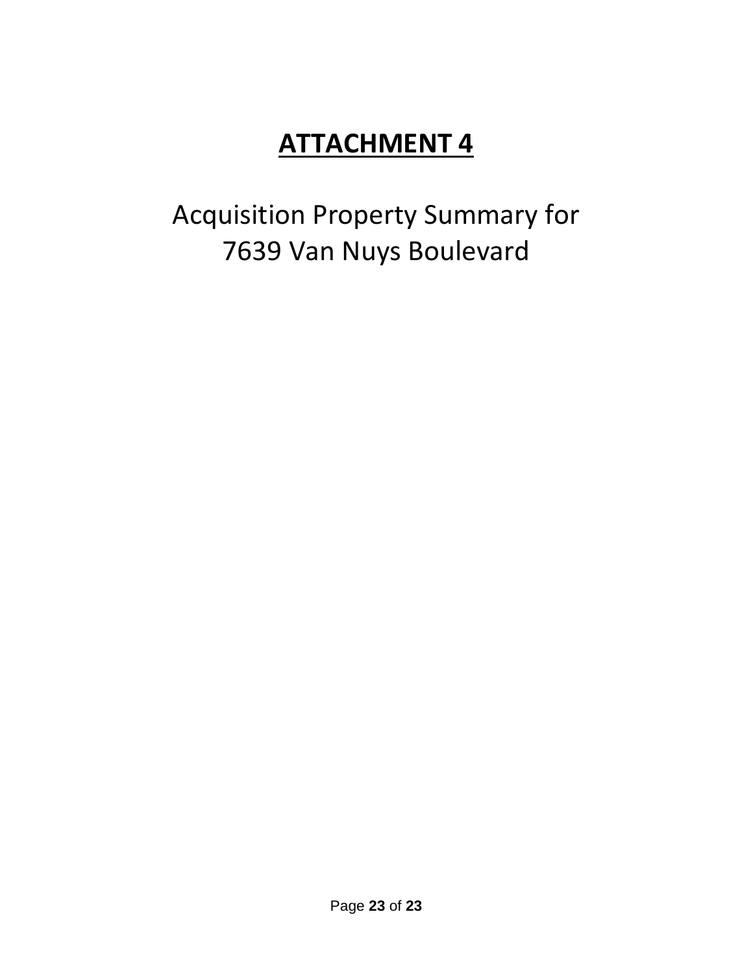Acquisition Property Summary for 7639 Van Nuys Boulevard